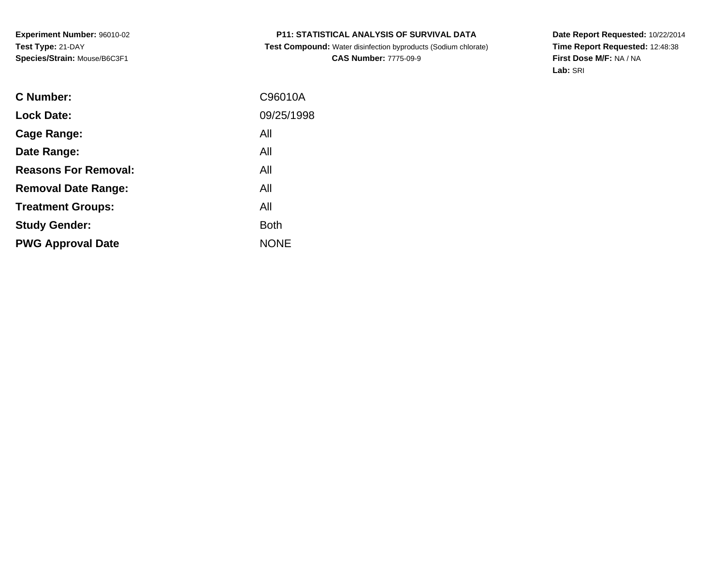**Experiment Number:** 96010-02**Test Type:** 21-DAY**Species/Strain:** Mouse/B6C3F1

# **P11: STATISTICAL ANALYSIS OF SURVIVAL DATA**

 **Test Compound:** Water disinfection byproducts (Sodium chlorate)**CAS Number:** 7775-09-9

**Date Report Requested:** 10/22/2014 **Time Report Requested:** 12:48:38**First Dose M/F:** NA / NA**Lab:** SRI

| C Number:                   | C96010A     |
|-----------------------------|-------------|
| <b>Lock Date:</b>           | 09/25/1998  |
| Cage Range:                 | All         |
| Date Range:                 | All         |
| <b>Reasons For Removal:</b> | All         |
| <b>Removal Date Range:</b>  | All         |
| <b>Treatment Groups:</b>    | All         |
| <b>Study Gender:</b>        | <b>Both</b> |
| <b>PWG Approval Date</b>    | <b>NONE</b> |
|                             |             |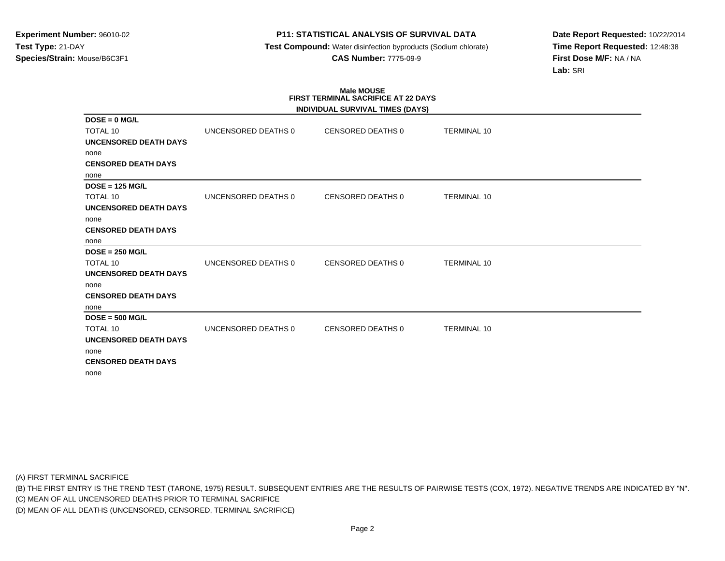**Test Compound:** Water disinfection byproducts (Sodium chlorate)**CAS Number:** 7775-09-9

**Date Report Requested:** 10/22/2014**Time Report Requested:** 12:48:38**First Dose M/F:** NA / NA**Lab:** SRI

# **Male MOUSE FIRST TERMINAL SACRIFICE AT 22 DAYS**

|                              |                     | INDIVIDUAL SURVIVAL TIMES (DAYS) |                    |
|------------------------------|---------------------|----------------------------------|--------------------|
| $DOSE = 0$ MG/L              |                     |                                  |                    |
| <b>TOTAL 10</b>              | UNCENSORED DEATHS 0 | <b>CENSORED DEATHS 0</b>         | <b>TERMINAL 10</b> |
| UNCENSORED DEATH DAYS        |                     |                                  |                    |
| none                         |                     |                                  |                    |
| <b>CENSORED DEATH DAYS</b>   |                     |                                  |                    |
| none                         |                     |                                  |                    |
| $DOSE = 125 MGL$             |                     |                                  |                    |
| TOTAL 10                     | UNCENSORED DEATHS 0 | <b>CENSORED DEATHS 0</b>         | <b>TERMINAL 10</b> |
| <b>UNCENSORED DEATH DAYS</b> |                     |                                  |                    |
| none                         |                     |                                  |                    |
| <b>CENSORED DEATH DAYS</b>   |                     |                                  |                    |
| none                         |                     |                                  |                    |
| $DOSE = 250 MGL$             |                     |                                  |                    |
| TOTAL 10                     | UNCENSORED DEATHS 0 | <b>CENSORED DEATHS 0</b>         | <b>TERMINAL 10</b> |
| UNCENSORED DEATH DAYS        |                     |                                  |                    |
| none                         |                     |                                  |                    |
| <b>CENSORED DEATH DAYS</b>   |                     |                                  |                    |
| none                         |                     |                                  |                    |
| $DOSE = 500 MGL$             |                     |                                  |                    |
| <b>TOTAL 10</b>              | UNCENSORED DEATHS 0 | <b>CENSORED DEATHS 0</b>         | <b>TERMINAL 10</b> |
| <b>UNCENSORED DEATH DAYS</b> |                     |                                  |                    |
| none                         |                     |                                  |                    |
| <b>CENSORED DEATH DAYS</b>   |                     |                                  |                    |
| none                         |                     |                                  |                    |

(A) FIRST TERMINAL SACRIFICE

(B) THE FIRST ENTRY IS THE TREND TEST (TARONE, 1975) RESULT. SUBSEQUENT ENTRIES ARE THE RESULTS OF PAIRWISE TESTS (COX, 1972). NEGATIVE TRENDS ARE INDICATED BY "N".

(C) MEAN OF ALL UNCENSORED DEATHS PRIOR TO TERMINAL SACRIFICE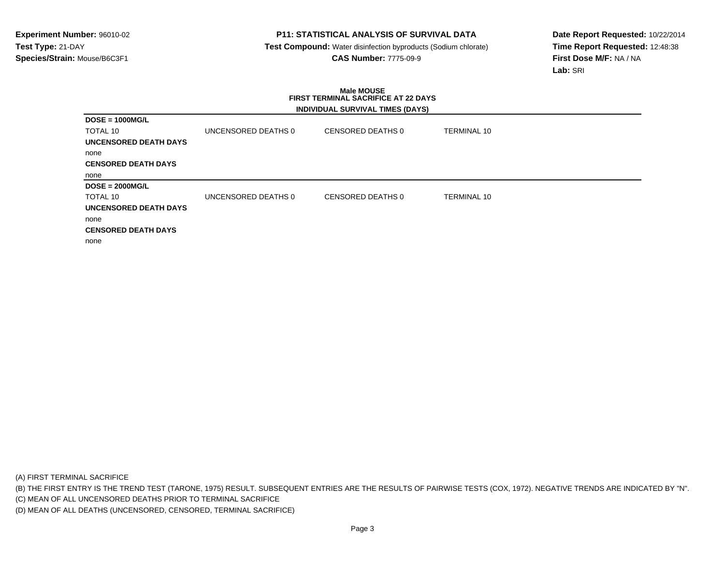**Test Compound:** Water disinfection byproducts (Sodium chlorate)**CAS Number:** 7775-09-9

**Date Report Requested:** 10/22/2014**Time Report Requested:** 12:48:38**First Dose M/F:** NA / NA**Lab:** SRI

### **Male MOUSE FIRST TERMINAL SACRIFICE AT 22 DAYSINDIVIDUAL SURVIVAL TIMES (DAYS)**

|                            |                     | $\mathbf{r}$      |                    |
|----------------------------|---------------------|-------------------|--------------------|
| $DOSE = 1000MG/L$          |                     |                   |                    |
| TOTAL 10                   | UNCENSORED DEATHS 0 | CENSORED DEATHS 0 | <b>TERMINAL 10</b> |
| UNCENSORED DEATH DAYS      |                     |                   |                    |
| none                       |                     |                   |                    |
| <b>CENSORED DEATH DAYS</b> |                     |                   |                    |
| none                       |                     |                   |                    |
| $DOSE = 2000MG/L$          |                     |                   |                    |
| TOTAL 10                   | UNCENSORED DEATHS 0 | CENSORED DEATHS 0 | <b>TERMINAL 10</b> |
| UNCENSORED DEATH DAYS      |                     |                   |                    |
| none                       |                     |                   |                    |
| <b>CENSORED DEATH DAYS</b> |                     |                   |                    |
| none                       |                     |                   |                    |

(A) FIRST TERMINAL SACRIFICE

(B) THE FIRST ENTRY IS THE TREND TEST (TARONE, 1975) RESULT. SUBSEQUENT ENTRIES ARE THE RESULTS OF PAIRWISE TESTS (COX, 1972). NEGATIVE TRENDS ARE INDICATED BY "N".

(C) MEAN OF ALL UNCENSORED DEATHS PRIOR TO TERMINAL SACRIFICE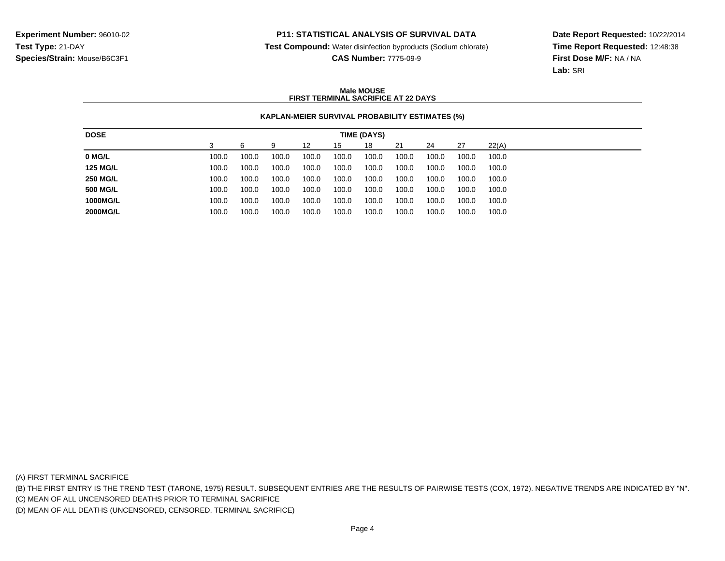**Test Compound:** Water disinfection byproducts (Sodium chlorate)

**CAS Number:** 7775-09-9

**Date Report Requested:** 10/22/2014**Time Report Requested:** 12:48:38**First Dose M/F:** NA / NA**Lab:** SRI

### **Male MOUSEFIRST TERMINAL SACRIFICE AT 22 DAYS**

## **KAPLAN-MEIER SURVIVAL PROBABILITY ESTIMATES (%)**

| <b>DOSE</b>     |       |       |       |       |       | TIME (DAYS) |       |       |       |       |
|-----------------|-------|-------|-------|-------|-------|-------------|-------|-------|-------|-------|
|                 |       |       | g     | 12    | 15    | 18          | 21    | 24    | -27   | 22(A) |
| 0 MG/L          | 100.0 | 100.0 | 100.0 | 100.0 | 100.0 | 100.0       | 100.0 | 100.0 | 100.0 | 100.0 |
| <b>125 MG/L</b> | 100.0 | 100.0 | 100.0 | 100.0 | 100.0 | 100.0       | 100.0 | 100.0 | 100.0 | 100.0 |
| <b>250 MG/L</b> | 100.0 | 100.0 | 100.0 | 100.0 | 100.0 | 100.0       | 100.0 | 100.0 | 100.0 | 100.0 |
| <b>500 MG/L</b> | 100.0 | 100.0 | 100.0 | 100.0 | 100.0 | 100.0       | 100.0 | 100.0 | 100.0 | 100.0 |
| 1000MG/L        | 100.0 | 100.0 | 100.0 | 100.0 | 100.0 | 100.0       | 100.0 | 100.0 | 100.0 | 100.0 |
| 2000MG/L        | 100.0 | 100.0 | 100.0 | 100.0 | 100.0 | 100.0       | 100.0 | 100.0 | 100.0 | 100.0 |

(A) FIRST TERMINAL SACRIFICE

(B) THE FIRST ENTRY IS THE TREND TEST (TARONE, 1975) RESULT. SUBSEQUENT ENTRIES ARE THE RESULTS OF PAIRWISE TESTS (COX, 1972). NEGATIVE TRENDS ARE INDICATED BY "N".

(C) MEAN OF ALL UNCENSORED DEATHS PRIOR TO TERMINAL SACRIFICE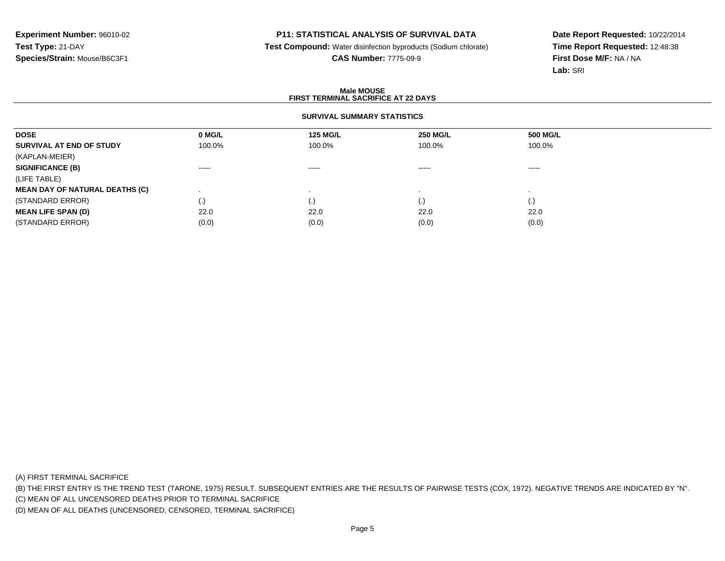**Test Compound:** Water disinfection byproducts (Sodium chlorate)

**CAS Number:** 7775-09-9

**Date Report Requested:** 10/22/2014**Time Report Requested:** 12:48:38**First Dose M/F:** NA / NA**Lab:** SRI

### **Male MOUSEFIRST TERMINAL SACRIFICE AT 22 DAYS**

## **SURVIVAL SUMMARY STATISTICS**

| <b>DOSE</b>                           | 0 MG/L            | <b>125 MG/L</b> | <b>250 MG/L</b>    | 500 MG/L |  |
|---------------------------------------|-------------------|-----------------|--------------------|----------|--|
| SURVIVAL AT END OF STUDY              | 100.0%            | 100.0%          | 100.0%             | 100.0%   |  |
| (KAPLAN-MEIER)                        |                   |                 |                    |          |  |
| <b>SIGNIFICANCE (B)</b>               | $- - - - -$       | $- - - - -$     | $\cdots$           | $\cdots$ |  |
| (LIFE TABLE)                          |                   |                 |                    |          |  |
| <b>MEAN DAY OF NATURAL DEATHS (C)</b> |                   |                 |                    |          |  |
| (STANDARD ERROR)                      | $\left( .\right)$ |                 | $\left( . \right)$ | (.)      |  |
| <b>MEAN LIFE SPAN (D)</b>             | 22.0              | 22.0            | 22.0               | 22.0     |  |
| (STANDARD ERROR)                      | (0.0)             | (0.0)           | (0.0)              | (0.0)    |  |
|                                       |                   |                 |                    |          |  |

(A) FIRST TERMINAL SACRIFICE

(B) THE FIRST ENTRY IS THE TREND TEST (TARONE, 1975) RESULT. SUBSEQUENT ENTRIES ARE THE RESULTS OF PAIRWISE TESTS (COX, 1972). NEGATIVE TRENDS ARE INDICATED BY "N".

(C) MEAN OF ALL UNCENSORED DEATHS PRIOR TO TERMINAL SACRIFICE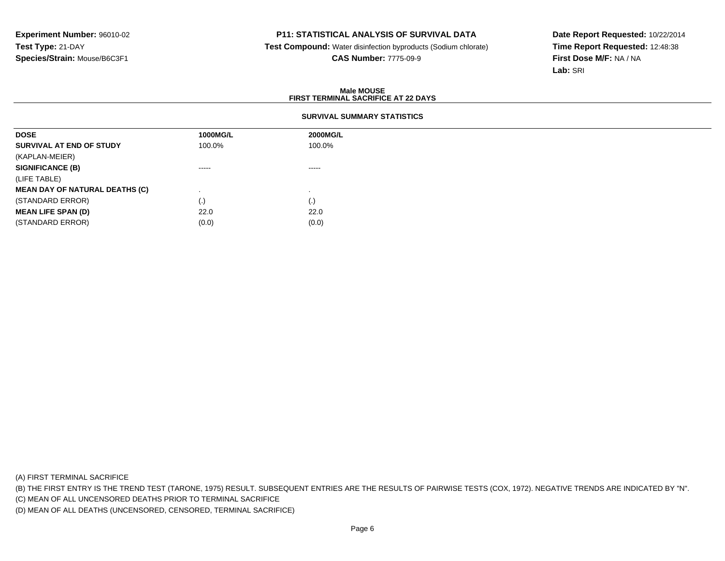**Test Compound:** Water disinfection byproducts (Sodium chlorate)**CAS Number:** 7775-09-9

**Date Report Requested:** 10/22/2014**Time Report Requested:** 12:48:38**First Dose M/F:** NA / NA**Lab:** SRI

### **Male MOUSEFIRST TERMINAL SACRIFICE AT 22 DAYS**

## **SURVIVAL SUMMARY STATISTICS**

| 1000MG/L | <b>2000MG/L</b> |
|----------|-----------------|
| 100.0%   | 100.0%          |
|          |                 |
| $\cdots$ | -----           |
|          |                 |
|          |                 |
| (.)      | (.)             |
| 22.0     | 22.0            |
| (0.0)    | (0.0)           |
|          |                 |

(A) FIRST TERMINAL SACRIFICE

(B) THE FIRST ENTRY IS THE TREND TEST (TARONE, 1975) RESULT. SUBSEQUENT ENTRIES ARE THE RESULTS OF PAIRWISE TESTS (COX, 1972). NEGATIVE TRENDS ARE INDICATED BY "N".

(C) MEAN OF ALL UNCENSORED DEATHS PRIOR TO TERMINAL SACRIFICE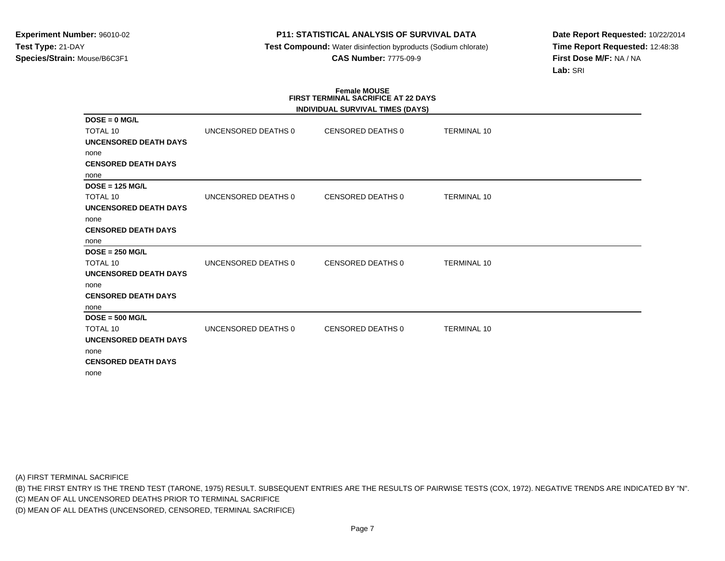**Test Compound:** Water disinfection byproducts (Sodium chlorate)**CAS Number:** 7775-09-9

**Date Report Requested:** 10/22/2014**Time Report Requested:** 12:48:38**First Dose M/F:** NA / NA**Lab:** SRI

# **Female MOUSE FIRST TERMINAL SACRIFICE AT 22 DAYS**

|                              |                     | INDIVIDUAL SURVIVAL TIMES (DAYS) |                    |  |
|------------------------------|---------------------|----------------------------------|--------------------|--|
| $DOSE = 0$ MG/L              |                     |                                  |                    |  |
| <b>TOTAL 10</b>              | UNCENSORED DEATHS 0 | CENSORED DEATHS 0                | <b>TERMINAL 10</b> |  |
| <b>UNCENSORED DEATH DAYS</b> |                     |                                  |                    |  |
| none                         |                     |                                  |                    |  |
| <b>CENSORED DEATH DAYS</b>   |                     |                                  |                    |  |
| none                         |                     |                                  |                    |  |
| $DOSE = 125 MGL$             |                     |                                  |                    |  |
| <b>TOTAL 10</b>              | UNCENSORED DEATHS 0 | CENSORED DEATHS 0                | <b>TERMINAL 10</b> |  |
| <b>UNCENSORED DEATH DAYS</b> |                     |                                  |                    |  |
| none                         |                     |                                  |                    |  |
| <b>CENSORED DEATH DAYS</b>   |                     |                                  |                    |  |
| none                         |                     |                                  |                    |  |
| $DOSE = 250 MGL$             |                     |                                  |                    |  |
| <b>TOTAL 10</b>              | UNCENSORED DEATHS 0 | <b>CENSORED DEATHS 0</b>         | <b>TERMINAL 10</b> |  |
| <b>UNCENSORED DEATH DAYS</b> |                     |                                  |                    |  |
| none                         |                     |                                  |                    |  |
| <b>CENSORED DEATH DAYS</b>   |                     |                                  |                    |  |
| none                         |                     |                                  |                    |  |
| $DOSE = 500 MGL$             |                     |                                  |                    |  |
| <b>TOTAL 10</b>              | UNCENSORED DEATHS 0 | CENSORED DEATHS 0                | <b>TERMINAL 10</b> |  |
| <b>UNCENSORED DEATH DAYS</b> |                     |                                  |                    |  |
| none                         |                     |                                  |                    |  |
| <b>CENSORED DEATH DAYS</b>   |                     |                                  |                    |  |
| none                         |                     |                                  |                    |  |

(A) FIRST TERMINAL SACRIFICE

(B) THE FIRST ENTRY IS THE TREND TEST (TARONE, 1975) RESULT. SUBSEQUENT ENTRIES ARE THE RESULTS OF PAIRWISE TESTS (COX, 1972). NEGATIVE TRENDS ARE INDICATED BY "N".

(C) MEAN OF ALL UNCENSORED DEATHS PRIOR TO TERMINAL SACRIFICE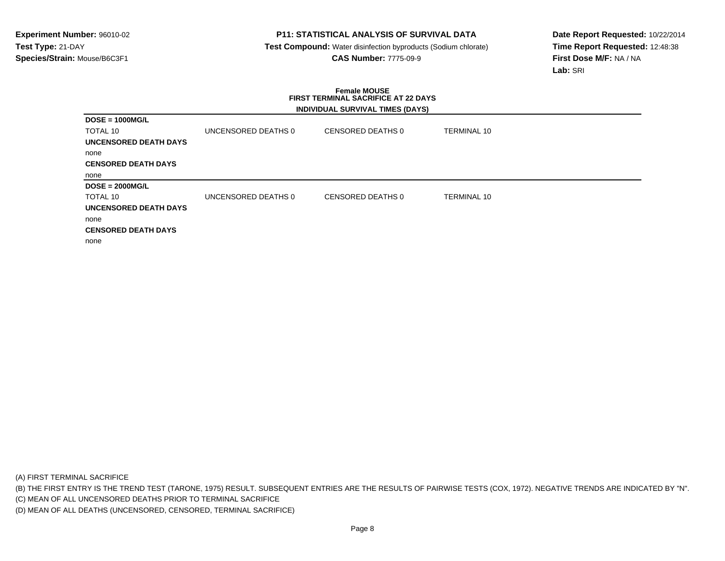**Test Compound:** Water disinfection byproducts (Sodium chlorate)**CAS Number:** 7775-09-9

**Date Report Requested:** 10/22/2014**Time Report Requested:** 12:48:38**First Dose M/F:** NA / NA**Lab:** SRI

### **Female MOUSE FIRST TERMINAL SACRIFICE AT 22 DAYSINDIVIDUAL SURVIVAL TIMES (DAYS)**

| $DOSE = 1000MG/L$          |                     |                   |                    |
|----------------------------|---------------------|-------------------|--------------------|
| TOTAL 10                   | UNCENSORED DEATHS 0 | CENSORED DEATHS 0 | <b>TERMINAL 10</b> |
| UNCENSORED DEATH DAYS      |                     |                   |                    |
| none                       |                     |                   |                    |
| <b>CENSORED DEATH DAYS</b> |                     |                   |                    |
| none                       |                     |                   |                    |
| $DOSE = 2000MG/L$          |                     |                   |                    |
| TOTAL 10                   | UNCENSORED DEATHS 0 | CENSORED DEATHS 0 | <b>TERMINAL 10</b> |
| UNCENSORED DEATH DAYS      |                     |                   |                    |
| none                       |                     |                   |                    |
| <b>CENSORED DEATH DAYS</b> |                     |                   |                    |
| none                       |                     |                   |                    |

(A) FIRST TERMINAL SACRIFICE

(B) THE FIRST ENTRY IS THE TREND TEST (TARONE, 1975) RESULT. SUBSEQUENT ENTRIES ARE THE RESULTS OF PAIRWISE TESTS (COX, 1972). NEGATIVE TRENDS ARE INDICATED BY "N".

(C) MEAN OF ALL UNCENSORED DEATHS PRIOR TO TERMINAL SACRIFICE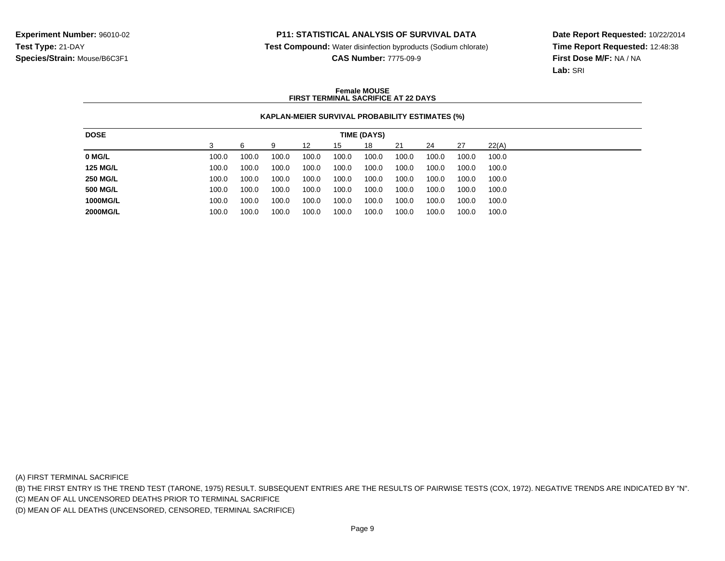**Test Compound:** Water disinfection byproducts (Sodium chlorate)

**CAS Number:** 7775-09-9

**Date Report Requested:** 10/22/2014**Time Report Requested:** 12:48:38**First Dose M/F:** NA / NA**Lab:** SRI

### **Female MOUSEFIRST TERMINAL SACRIFICE AT 22 DAYS**

## **KAPLAN-MEIER SURVIVAL PROBABILITY ESTIMATES (%)**

| <b>DOSE</b>     |       |       |       |       |       | TIME (DAYS) |       |       |       |       |
|-----------------|-------|-------|-------|-------|-------|-------------|-------|-------|-------|-------|
|                 |       |       | g     | 12    | 15    | 18          | 21    | 24    | -27   | 22(A) |
| 0 MG/L          | 100.0 | 100.0 | 100.0 | 100.0 | 100.0 | 100.0       | 100.0 | 100.0 | 100.0 | 100.0 |
| <b>125 MG/L</b> | 100.0 | 100.0 | 100.0 | 100.0 | 100.0 | 100.0       | 100.0 | 100.0 | 100.0 | 100.0 |
| <b>250 MG/L</b> | 100.0 | 100.0 | 100.0 | 100.0 | 100.0 | 100.0       | 100.0 | 100.0 | 100.0 | 100.0 |
| <b>500 MG/L</b> | 100.0 | 100.0 | 100.0 | 100.0 | 100.0 | 100.0       | 100.0 | 100.0 | 100.0 | 100.0 |
| 1000MG/L        | 100.0 | 100.0 | 100.0 | 100.0 | 100.0 | 100.0       | 100.0 | 100.0 | 100.0 | 100.0 |
| 2000MG/L        | 100.0 | 100.0 | 100.0 | 100.0 | 100.0 | 100.0       | 100.0 | 100.0 | 100.0 | 100.0 |

(A) FIRST TERMINAL SACRIFICE

(B) THE FIRST ENTRY IS THE TREND TEST (TARONE, 1975) RESULT. SUBSEQUENT ENTRIES ARE THE RESULTS OF PAIRWISE TESTS (COX, 1972). NEGATIVE TRENDS ARE INDICATED BY "N".

(C) MEAN OF ALL UNCENSORED DEATHS PRIOR TO TERMINAL SACRIFICE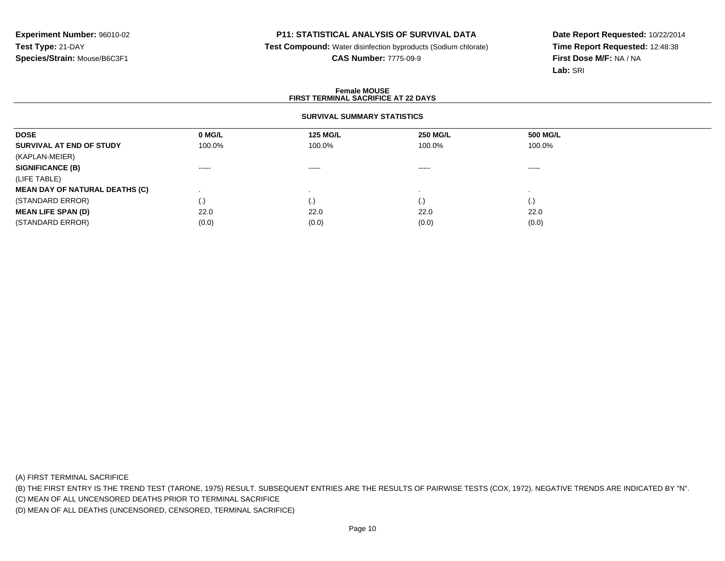**Test Compound:** Water disinfection byproducts (Sodium chlorate)

**CAS Number:** 7775-09-9

**Date Report Requested:** 10/22/2014**Time Report Requested:** 12:48:38**First Dose M/F:** NA / NA**Lab:** SRI

#### **Female MOUSEFIRST TERMINAL SACRIFICE AT 22 DAYS**

## **SURVIVAL SUMMARY STATISTICS**

| <b>DOSE</b>                           | 0 MG/L            | <b>125 MG/L</b> | <b>250 MG/L</b>    | <b>500 MG/L</b> |  |
|---------------------------------------|-------------------|-----------------|--------------------|-----------------|--|
| SURVIVAL AT END OF STUDY              | 100.0%            | 100.0%          | 100.0%             | 100.0%          |  |
| (KAPLAN-MEIER)                        |                   |                 |                    |                 |  |
| <b>SIGNIFICANCE (B)</b>               | $\cdots$          | $\cdots$        | -----              | $\cdots$        |  |
| (LIFE TABLE)                          |                   |                 |                    |                 |  |
| <b>MEAN DAY OF NATURAL DEATHS (C)</b> |                   |                 |                    |                 |  |
| (STANDARD ERROR)                      | $\left( .\right)$ |                 | $\left( . \right)$ | (.)             |  |
| <b>MEAN LIFE SPAN (D)</b>             | 22.0              | 22.0            | 22.0               | 22.0            |  |
| (STANDARD ERROR)                      | (0.0)             | (0.0)           | (0.0)              | (0.0)           |  |
|                                       |                   |                 |                    |                 |  |

(A) FIRST TERMINAL SACRIFICE

(B) THE FIRST ENTRY IS THE TREND TEST (TARONE, 1975) RESULT. SUBSEQUENT ENTRIES ARE THE RESULTS OF PAIRWISE TESTS (COX, 1972). NEGATIVE TRENDS ARE INDICATED BY "N".

(C) MEAN OF ALL UNCENSORED DEATHS PRIOR TO TERMINAL SACRIFICE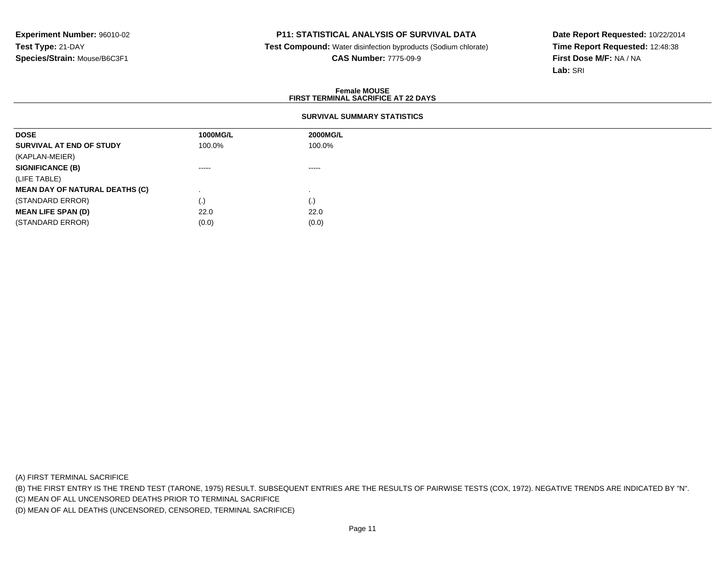**Test Compound:** Water disinfection byproducts (Sodium chlorate)**CAS Number:** 7775-09-9

**Date Report Requested:** 10/22/2014**Time Report Requested:** 12:48:38**First Dose M/F:** NA / NA**Lab:** SRI

### **Female MOUSEFIRST TERMINAL SACRIFICE AT 22 DAYS**

## **SURVIVAL SUMMARY STATISTICS**

| <b>DOSE</b>                           | 1000MG/L | <b>2000MG/L</b> |
|---------------------------------------|----------|-----------------|
| SURVIVAL AT END OF STUDY              | 100.0%   | 100.0%          |
| (KAPLAN-MEIER)                        |          |                 |
| <b>SIGNIFICANCE (B)</b>               | $\cdots$ | $\cdots$        |
| (LIFE TABLE)                          |          |                 |
| <b>MEAN DAY OF NATURAL DEATHS (C)</b> |          |                 |
| (STANDARD ERROR)                      | (.)      | (.)             |
| <b>MEAN LIFE SPAN (D)</b>             | 22.0     | 22.0            |
| (STANDARD ERROR)                      | (0.0)    | (0.0)           |

(A) FIRST TERMINAL SACRIFICE

(B) THE FIRST ENTRY IS THE TREND TEST (TARONE, 1975) RESULT. SUBSEQUENT ENTRIES ARE THE RESULTS OF PAIRWISE TESTS (COX, 1972). NEGATIVE TRENDS ARE INDICATED BY "N".

(C) MEAN OF ALL UNCENSORED DEATHS PRIOR TO TERMINAL SACRIFICE